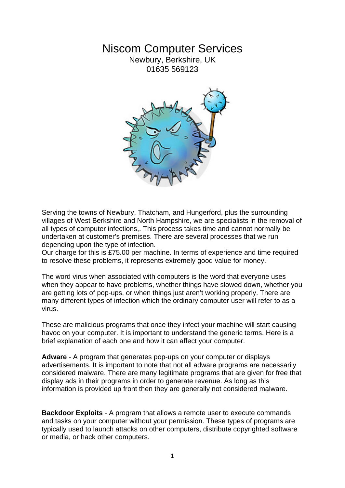## Niscom Computer Services

Newbury, Berkshire, UK 01635 569123



Serving the towns of Newbury, Thatcham, and Hungerford, plus the surrounding villages of West Berkshire and North Hampshire, we are specialists in the removal of all types of computer infections,. This process takes time and cannot normally be undertaken at customer's premises. There are several processes that we run depending upon the type of infection.

Our charge for this is £75.00 per machine. In terms of experience and time required to resolve these problems, it represents extremely good value for money.

The word virus when associated with computers is the word that everyone uses when they appear to have problems, whether things have slowed down, whether you are getting lots of pop-ups, or when things just aren't working properly. There are many different types of infection which the ordinary computer user will refer to as a virus.

These are malicious programs that once they infect your machine will start causing havoc on your computer. It is important to understand the generic terms. Here is a brief explanation of each one and how it can affect your computer.

**Adware** - A program that generates pop-ups on your computer or displays advertisements. It is important to note that not all adware programs are necessarily considered malware. There are many legitimate programs that are given for free that display ads in their programs in order to generate revenue. As long as this information is provided up front then they are generally not considered malware.

**Backdoor Exploits** - A program that allows a remote user to execute commands and tasks on your computer without your permission. These types of programs are typically used to launch attacks on other computers, distribute copyrighted software or media, or hack other computers.